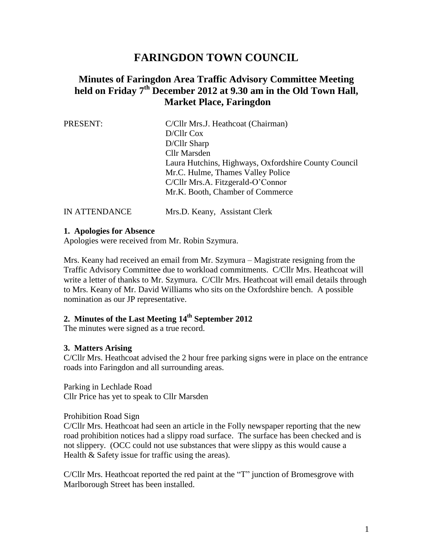# **FARINGDON TOWN COUNCIL**

# **Minutes of Faringdon Area Traffic Advisory Committee Meeting held on Friday 7 th December 2012 at 9.30 am in the Old Town Hall, Market Place, Faringdon**

| PRESENT:      | C/Cllr Mrs.J. Heathcoat (Chairman)                   |  |  |
|---------------|------------------------------------------------------|--|--|
|               | D/Cllr Cox                                           |  |  |
|               | D/Cllr Sharp                                         |  |  |
|               | <b>Cllr Marsden</b>                                  |  |  |
|               | Laura Hutchins, Highways, Oxfordshire County Council |  |  |
|               | Mr.C. Hulme, Thames Valley Police                    |  |  |
|               | C/Cllr Mrs.A. Fitzgerald-O'Connor                    |  |  |
|               | Mr.K. Booth, Chamber of Commerce                     |  |  |
| IN ATTENDANCE | Mrs.D. Keany, Assistant Clerk                        |  |  |

#### **1. Apologies for Absence**

Apologies were received from Mr. Robin Szymura.

Mrs. Keany had received an email from Mr. Szymura – Magistrate resigning from the Traffic Advisory Committee due to workload commitments. C/Cllr Mrs. Heathcoat will write a letter of thanks to Mr. Szymura. C/Cllr Mrs. Heathcoat will email details through to Mrs. Keany of Mr. David Williams who sits on the Oxfordshire bench. A possible nomination as our JP representative.

# **2. Minutes of the Last Meeting 14th September 2012**

The minutes were signed as a true record.

### **3. Matters Arising**

C/Cllr Mrs. Heathcoat advised the 2 hour free parking signs were in place on the entrance roads into Faringdon and all surrounding areas.

Parking in Lechlade Road

Cllr Price has yet to speak to Cllr Marsden

#### Prohibition Road Sign

C/Cllr Mrs. Heathcoat had seen an article in the Folly newspaper reporting that the new road prohibition notices had a slippy road surface. The surface has been checked and is not slippery. (OCC could not use substances that were slippy as this would cause a Health & Safety issue for traffic using the areas).

C/Cllr Mrs. Heathcoat reported the red paint at the "T" junction of Bromesgrove with Marlborough Street has been installed.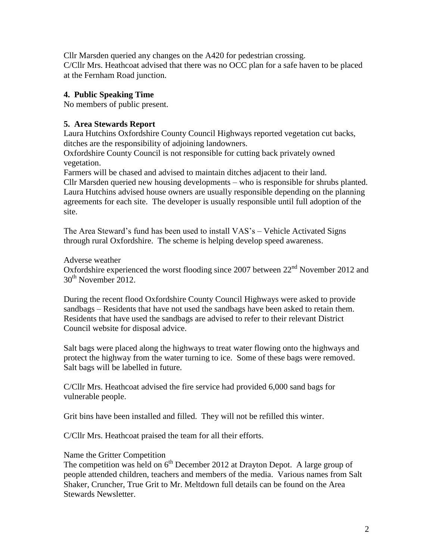Cllr Marsden queried any changes on the A420 for pedestrian crossing. C/Cllr Mrs. Heathcoat advised that there was no OCC plan for a safe haven to be placed at the Fernham Road junction.

# **4. Public Speaking Time**

No members of public present.

## **5. Area Stewards Report**

Laura Hutchins Oxfordshire County Council Highways reported vegetation cut backs, ditches are the responsibility of adjoining landowners.

Oxfordshire County Council is not responsible for cutting back privately owned vegetation.

Farmers will be chased and advised to maintain ditches adjacent to their land.

Cllr Marsden queried new housing developments – who is responsible for shrubs planted. Laura Hutchins advised house owners are usually responsible depending on the planning agreements for each site. The developer is usually responsible until full adoption of the site.

The Area Steward's fund has been used to install VAS's – Vehicle Activated Signs through rural Oxfordshire. The scheme is helping develop speed awareness.

Adverse weather

Oxfordshire experienced the worst flooding since 2007 between  $22<sup>nd</sup>$  November 2012 and 30<sup>th</sup> November 2012.

During the recent flood Oxfordshire County Council Highways were asked to provide sandbags – Residents that have not used the sandbags have been asked to retain them. Residents that have used the sandbags are advised to refer to their relevant District Council website for disposal advice.

Salt bags were placed along the highways to treat water flowing onto the highways and protect the highway from the water turning to ice. Some of these bags were removed. Salt bags will be labelled in future.

C/Cllr Mrs. Heathcoat advised the fire service had provided 6,000 sand bags for vulnerable people.

Grit bins have been installed and filled. They will not be refilled this winter.

C/Cllr Mrs. Heathcoat praised the team for all their efforts.

Name the Gritter Competition

The competition was held on  $6<sup>th</sup>$  December 2012 at Drayton Depot. A large group of people attended children, teachers and members of the media. Various names from Salt Shaker, Cruncher, True Grit to Mr. Meltdown full details can be found on the Area Stewards Newsletter.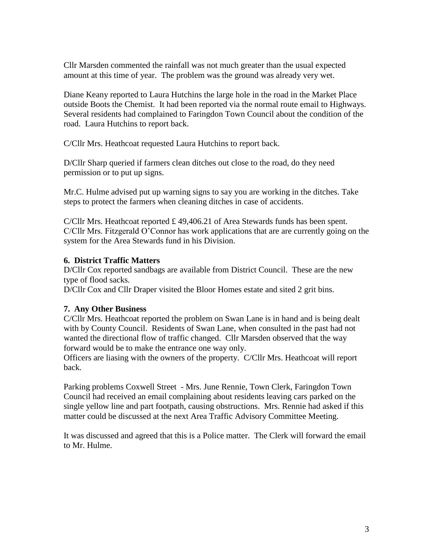Cllr Marsden commented the rainfall was not much greater than the usual expected amount at this time of year. The problem was the ground was already very wet.

Diane Keany reported to Laura Hutchins the large hole in the road in the Market Place outside Boots the Chemist. It had been reported via the normal route email to Highways. Several residents had complained to Faringdon Town Council about the condition of the road. Laura Hutchins to report back.

C/Cllr Mrs. Heathcoat requested Laura Hutchins to report back.

D/Cllr Sharp queried if farmers clean ditches out close to the road, do they need permission or to put up signs.

Mr.C. Hulme advised put up warning signs to say you are working in the ditches. Take steps to protect the farmers when cleaning ditches in case of accidents.

C/Cllr Mrs. Heathcoat reported £ 49,406.21 of Area Stewards funds has been spent. C/Cllr Mrs. Fitzgerald O'Connor has work applications that are are currently going on the system for the Area Stewards fund in his Division.

## **6. District Traffic Matters**

D/Cllr Cox reported sandbags are available from District Council. These are the new type of flood sacks.

D/Cllr Cox and Cllr Draper visited the Bloor Homes estate and sited 2 grit bins.

### **7. Any Other Business**

C/Cllr Mrs. Heathcoat reported the problem on Swan Lane is in hand and is being dealt with by County Council. Residents of Swan Lane, when consulted in the past had not wanted the directional flow of traffic changed. Cllr Marsden observed that the way forward would be to make the entrance one way only.

Officers are liasing with the owners of the property. C/Cllr Mrs. Heathcoat will report back.

Parking problems Coxwell Street - Mrs. June Rennie, Town Clerk, Faringdon Town Council had received an email complaining about residents leaving cars parked on the single yellow line and part footpath, causing obstructions. Mrs. Rennie had asked if this matter could be discussed at the next Area Traffic Advisory Committee Meeting.

It was discussed and agreed that this is a Police matter. The Clerk will forward the email to Mr. Hulme.